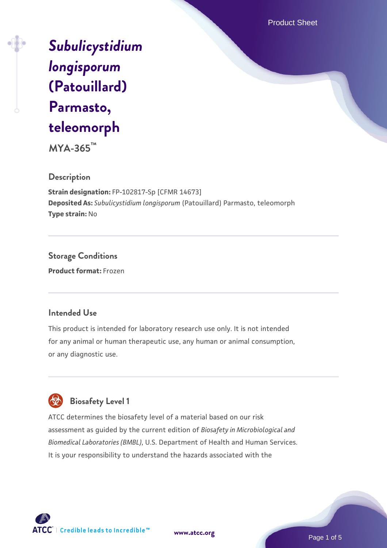Product Sheet

*[Subulicystidium](https://www.atcc.org/products/mya-365) [longisporum](https://www.atcc.org/products/mya-365)* **[\(Patouillard\)](https://www.atcc.org/products/mya-365) [Parmasto,](https://www.atcc.org/products/mya-365) [teleomorph](https://www.atcc.org/products/mya-365)**

**MYA-365™**

### **Description**

**Strain designation:** FP-102817-Sp [CFMR 14673] **Deposited As:** *Subulicystidium longisporum* (Patouillard) Parmasto, teleomorph **Type strain:** No

**Storage Conditions Product format:** Frozen

## **Intended Use**

This product is intended for laboratory research use only. It is not intended for any animal or human therapeutic use, any human or animal consumption, or any diagnostic use.



ATCC determines the biosafety level of a material based on our risk assessment as guided by the current edition of *Biosafety in Microbiological and Biomedical Laboratories (BMBL)*, U.S. Department of Health and Human Services. It is your responsibility to understand the hazards associated with the



**[www.atcc.org](http://www.atcc.org)**

Page 1 of 5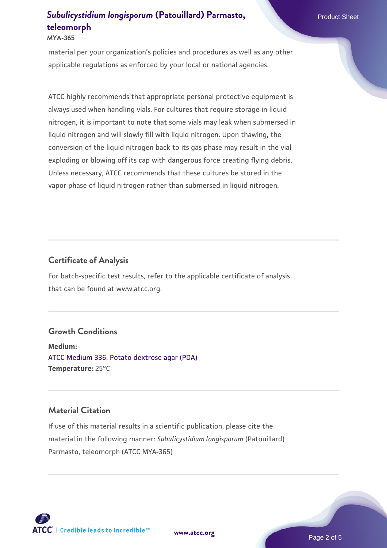#### **MYA-365**

material per your organization's policies and procedures as well as any other applicable regulations as enforced by your local or national agencies.

ATCC highly recommends that appropriate personal protective equipment is always used when handling vials. For cultures that require storage in liquid nitrogen, it is important to note that some vials may leak when submersed in liquid nitrogen and will slowly fill with liquid nitrogen. Upon thawing, the conversion of the liquid nitrogen back to its gas phase may result in the vial exploding or blowing off its cap with dangerous force creating flying debris. Unless necessary, ATCC recommends that these cultures be stored in the vapor phase of liquid nitrogen rather than submersed in liquid nitrogen.

### **Certificate of Analysis**

For batch-specific test results, refer to the applicable certificate of analysis that can be found at www.atcc.org.

### **Growth Conditions**

**Medium:**  [ATCC Medium 336: Potato dextrose agar \(PDA\)](https://www.atcc.org/-/media/product-assets/documents/microbial-media-formulations/3/3/6/atcc-medium-336.pdf?rev=d9160ad44d934cd8b65175461abbf3b9) **Temperature:** 25°C

## **Material Citation**

If use of this material results in a scientific publication, please cite the material in the following manner: *Subulicystidium longisporum* (Patouillard) Parmasto, teleomorph (ATCC MYA-365)



**[www.atcc.org](http://www.atcc.org)**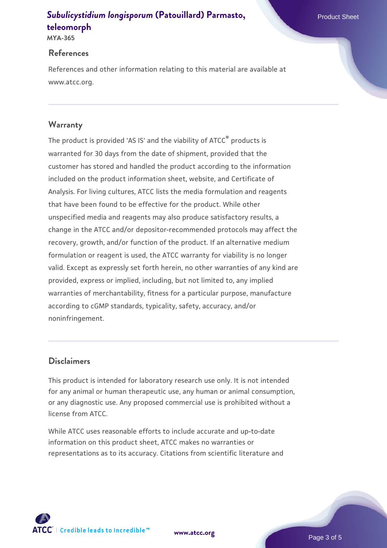**MYA-365**

#### **References**

References and other information relating to this material are available at www.atcc.org.

## **Warranty**

The product is provided 'AS IS' and the viability of ATCC® products is warranted for 30 days from the date of shipment, provided that the customer has stored and handled the product according to the information included on the product information sheet, website, and Certificate of Analysis. For living cultures, ATCC lists the media formulation and reagents that have been found to be effective for the product. While other unspecified media and reagents may also produce satisfactory results, a change in the ATCC and/or depositor-recommended protocols may affect the recovery, growth, and/or function of the product. If an alternative medium formulation or reagent is used, the ATCC warranty for viability is no longer valid. Except as expressly set forth herein, no other warranties of any kind are provided, express or implied, including, but not limited to, any implied warranties of merchantability, fitness for a particular purpose, manufacture according to cGMP standards, typicality, safety, accuracy, and/or noninfringement.

### **Disclaimers**

This product is intended for laboratory research use only. It is not intended for any animal or human therapeutic use, any human or animal consumption, or any diagnostic use. Any proposed commercial use is prohibited without a license from ATCC.

While ATCC uses reasonable efforts to include accurate and up-to-date information on this product sheet, ATCC makes no warranties or representations as to its accuracy. Citations from scientific literature and

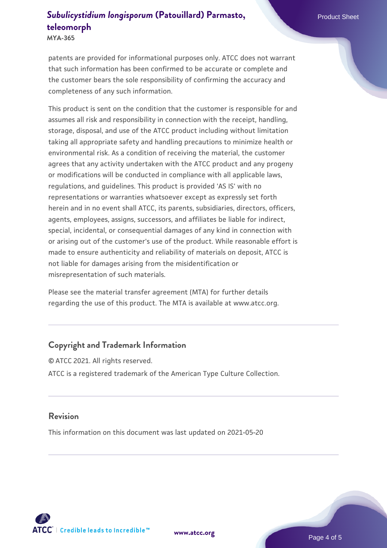**MYA-365**

patents are provided for informational purposes only. ATCC does not warrant that such information has been confirmed to be accurate or complete and the customer bears the sole responsibility of confirming the accuracy and completeness of any such information.

This product is sent on the condition that the customer is responsible for and assumes all risk and responsibility in connection with the receipt, handling, storage, disposal, and use of the ATCC product including without limitation taking all appropriate safety and handling precautions to minimize health or environmental risk. As a condition of receiving the material, the customer agrees that any activity undertaken with the ATCC product and any progeny or modifications will be conducted in compliance with all applicable laws, regulations, and guidelines. This product is provided 'AS IS' with no representations or warranties whatsoever except as expressly set forth herein and in no event shall ATCC, its parents, subsidiaries, directors, officers, agents, employees, assigns, successors, and affiliates be liable for indirect, special, incidental, or consequential damages of any kind in connection with or arising out of the customer's use of the product. While reasonable effort is made to ensure authenticity and reliability of materials on deposit, ATCC is not liable for damages arising from the misidentification or misrepresentation of such materials.

Please see the material transfer agreement (MTA) for further details regarding the use of this product. The MTA is available at www.atcc.org.

### **Copyright and Trademark Information**

© ATCC 2021. All rights reserved. ATCC is a registered trademark of the American Type Culture Collection.

#### **Revision**

This information on this document was last updated on 2021-05-20



**[www.atcc.org](http://www.atcc.org)**